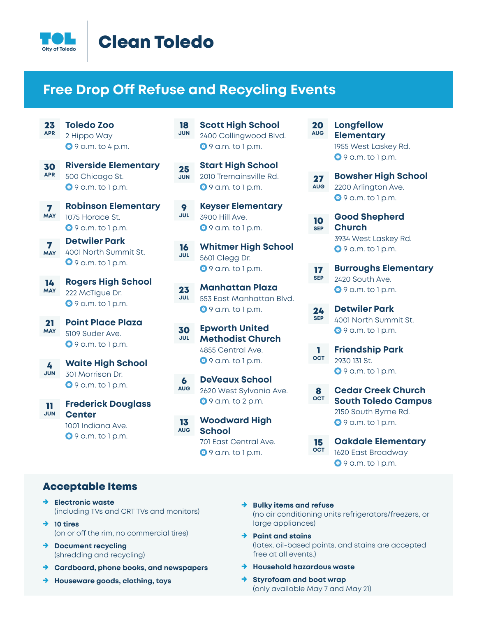

## Clean Toledo

#### **Free Drop Off Refuse and Recycling Events**

25 **JUN**

- 23 **APR Toledo Zoo** 2 Hippo Way **0** 9 a.m. to 4 p.m.
- 30 **APR Riverside Elementary** 500 Chicago St.  $\Theta$  9 a.m. to 1 p.m.
- 7 **MAY Robinson Elementary** 1075 Horace St. 9 a.m. to 1 p.m.
- **Detwiler Park** 4001 North Summit St. 9 a.m. to 1 p.m. 7 **MAY**
- 14 **MAY Rogers High School** 222 McTigue Dr.  $\Theta$  9 a.m. to 1 p.m.
- 21 **MAY Point Place Plaza** 5109 Suder Ave. **0** 9 a.m. to 1 p.m.
- 4 **JUN Waite High School** 301 Morrison Dr.  $\Theta$  9 a.m. to 1 p.m.
- 11 **JUN Frederick Douglass Center** 1001 Indiana Ave.  $\Theta$  9 a.m. to 1 p.m.
- 18 **JUN Scott High School** 2400 Collingwood Blvd.  $9$  a.m. to 1 p.m.
	- **Start High School** 2010 Tremainsville Rd.  $9$  9 a.m. to 1 p.m.
- 9 **JUL Keyser Elementary** 3900 Hill Ave.  $\bullet$  9 a.m. to 1 p.m.
- 16 **JUL Whitmer High School** 5601 Clegg Dr.  $\Theta$  9 a.m. to 1 p.m.
- 23 **JUL Manhattan Plaza** 553 East Manhattan Blvd.  $9$  a.m. to 1 p.m.
- 30 **JUL Epworth United Methodist Church** 4855 Central Ave. **0** 9 a.m. to 1 p.m.
- 6 **AUG DeVeaux School** 2620 West Sylvania Ave. **9** 9 a.m. to 2 p.m.
- 13 **AUG Woodward High School** 701 East Central Ave.

 $9$  9 a.m. to 1 p.m.

#### 20 **AUG Longfellow Elementary** 1955 West Laskey Rd. **9** 9 a.m. to 1 p.m.

- 27 **AUG Bowsher High School** 2200 Arlington Ave. **0** 9 a.m. to 1 p.m.
- 10 **SEP Good Shepherd Church** 3934 West Laskey Rd.  $\Theta$  9 a.m. to 1 p.m.
- 17 **SEP Burroughs Elementary** 2420 South Ave. **0** 9 a.m. to 1 p.m.
- 24 **SEP Detwiler Park** 4001 North Summit St. **9** 9 a.m. to 1 p.m.
- 1 **OCT Friendship Park** 2930 131 St.  $\Theta$  9 a.m. to 1 p.m.
- 8 **OCT Cedar Creek Church South Toledo Campus** 2150 South Byrne Rd. **0** 9 a.m. to 1 p.m.
- 15 **OCT Oakdale Elementary** 1620 East Broadway **0** 9 a.m. to 1 p.m.

#### Acceptable Items

- → **Electronic waste** (including TVs and CRT TVs and monitors)
- → **10 tires** (on or off the rim, no commercial tires)
- → **Document recycling** (shredding and recycling)
- → **Cardboard, phone books, and newspapers**
- → **Houseware goods, clothing, toys**
- → **Bulky items and refuse** (no air conditioning units refrigerators/freezers, or large appliances)
- → **Paint and stains** (latex, oil-based paints, and stains are accepted free at all events.)
- → **Household hazardous waste**
- **Styrofoam and boat wrap** (only available May 7 and May 21)